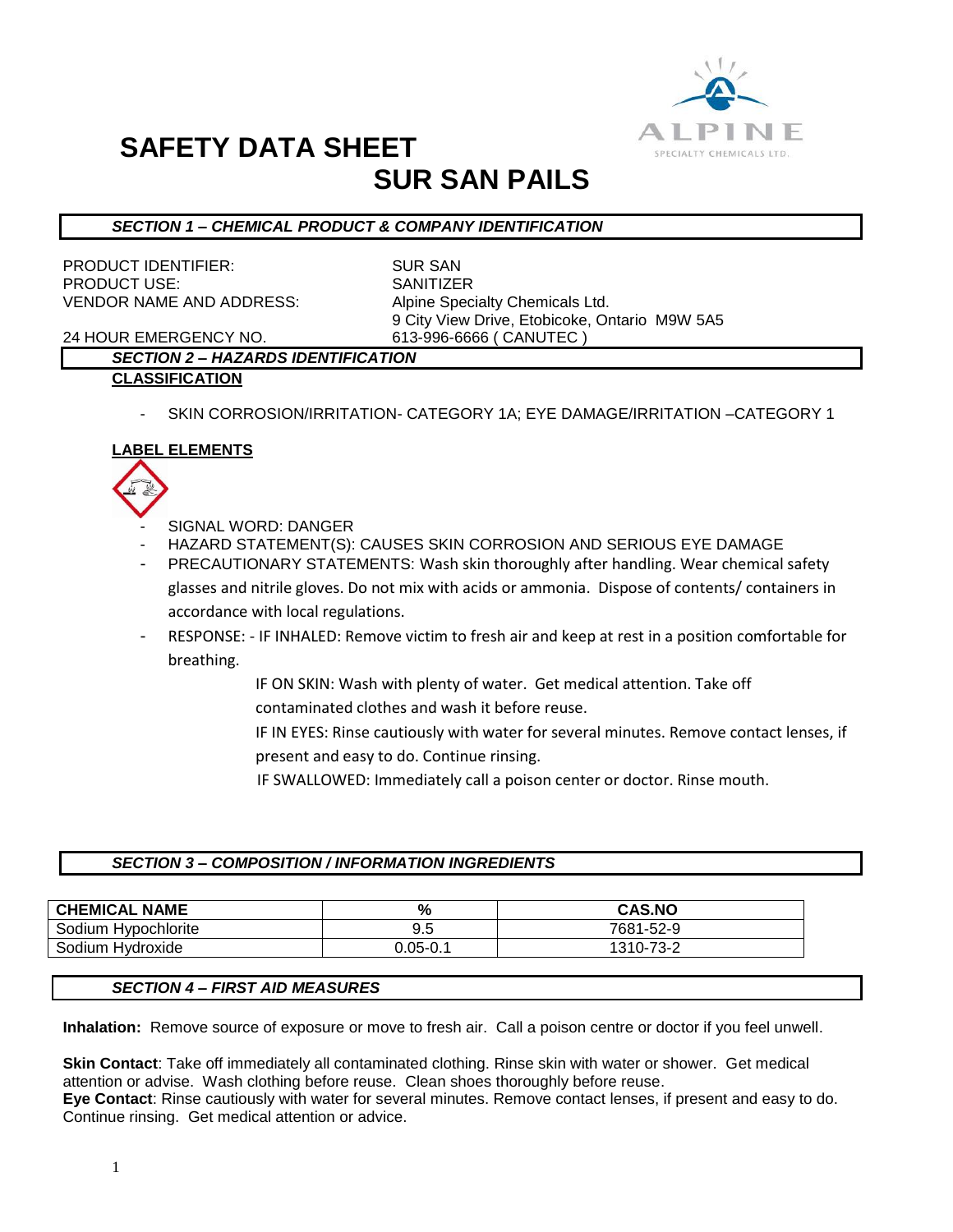

# **SAFETY DATA SHEET SUR SAN PAILS**

# *SECTION 1 – CHEMICAL PRODUCT & COMPANY IDENTIFICATION*

PRODUCT IDENTIFIER: SUR SAN PRODUCT USE: SANITIZER VENDOR NAME AND ADDRESS: Alpine Specialty Chemicals Ltd.

9 City View Drive, Etobicoke, Ontario M9W 5A5

24 HOUR EMERGENCY NO. 613-996-6666 ( CANUTEC )

# *SECTION 2 – HAZARDS IDENTIFICATION*

## **CLASSIFICATION**

SKIN CORROSION/IRRITATION- CATEGORY 1A; EYE DAMAGE/IRRITATION -CATEGORY 1

# **LABEL ELEMENTS**



- SIGNAL WORD: DANGER
- HAZARD STATEMENT(S): CAUSES SKIN CORROSION AND SERIOUS EYE DAMAGE
- PRECAUTIONARY STATEMENTS: Wash skin thoroughly after handling. Wear chemical safety glasses and nitrile gloves. Do not mix with acids or ammonia. Dispose of contents/ containers in accordance with local regulations.
- RESPONSE: IF INHALED: Remove victim to fresh air and keep at rest in a position comfortable for breathing.
	- IF ON SKIN: Wash with plenty of water. Get medical attention. Take off contaminated clothes and wash it before reuse.
	- IF IN EYES: Rinse cautiously with water for several minutes. Remove contact lenses, if present and easy to do. Continue rinsing.
	- IF SWALLOWED: Immediately call a poison center or doctor. Rinse mouth.

# *SECTION 3 – COMPOSITION / INFORMATION INGREDIENTS*

| <b>CHEMICAL NAME</b> | %            | <b>CAS.NO</b> |
|----------------------|--------------|---------------|
| Sodium Hypochlorite  | 9.5          | 7681-52-9     |
| Sodium Hydroxide     | $0.05 - 0.1$ | 1310-73-2     |

# *SECTION 4 – FIRST AID MEASURES*

**Inhalation:** Remove source of exposure or move to fresh air. Call a poison centre or doctor if you feel unwell.

**Skin Contact**: Take off immediately all contaminated clothing. Rinse skin with water or shower. Get medical attention or advise. Wash clothing before reuse. Clean shoes thoroughly before reuse. **Eye Contact**: Rinse cautiously with water for several minutes. Remove contact lenses, if present and easy to do. Continue rinsing. Get medical attention or advice.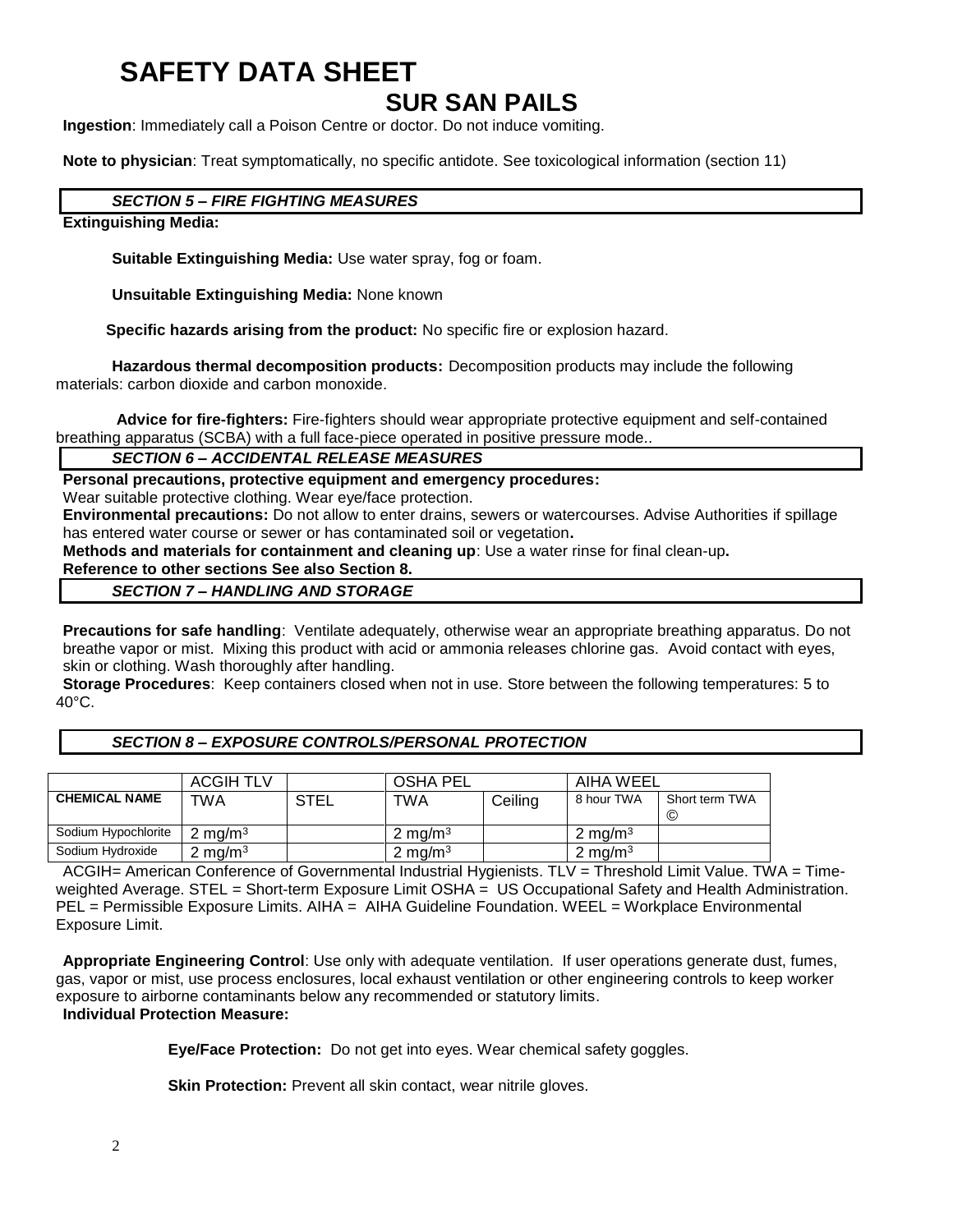# **SAFETY DATA SHEET**

# **SUR SAN PAILS**

**Ingestion**: Immediately call a Poison Centre or doctor. Do not induce vomiting.

**Note to physician**: Treat symptomatically, no specific antidote. See toxicological information (section 11)

# *SECTION 5 – FIRE FIGHTING MEASURES*

# **Extinguishing Media:**

**Suitable Extinguishing Media:** Use water spray, fog or foam.

**Unsuitable Extinguishing Media:** None known

 **Specific hazards arising from the product:** No specific fire or explosion hazard.

**Hazardous thermal decomposition products:** Decomposition products may include the following materials: carbon dioxide and carbon monoxide.

**Advice for fire-fighters:** Fire-fighters should wear appropriate protective equipment and self-contained breathing apparatus (SCBA) with a full face-piece operated in positive pressure mode..

# *SECTION 6 – ACCIDENTAL RELEASE MEASURES*

**Personal precautions, protective equipment and emergency procedures:**

Wear suitable protective clothing. Wear eye/face protection.

**Environmental precautions:** Do not allow to enter drains, sewers or watercourses. Advise Authorities if spillage has entered water course or sewer or has contaminated soil or vegetation**.** 

**Methods and materials for containment and cleaning up**: Use a water rinse for final clean-up**.** 

## **Reference to other sections See also Section 8.** *SECTION 7 – HANDLING AND STORAGE*

**Precautions for safe handling**: Ventilate adequately, otherwise wear an appropriate breathing apparatus. Do not breathe vapor or mist. Mixing this product with acid or ammonia releases chlorine gas. Avoid contact with eyes, skin or clothing. Wash thoroughly after handling.

**Storage Procedures**: Keep containers closed when not in use. Store between the following temperatures: 5 to 40°C.

## *SECTION 8 – EXPOSURE CONTROLS/PERSONAL PROTECTION*

|                      | <b>ACGIH TLV</b>   |             | <b>OSHA PEL</b>    |         | AIHA WEEL          |                      |
|----------------------|--------------------|-------------|--------------------|---------|--------------------|----------------------|
| <b>CHEMICAL NAME</b> | TWA                | <b>STEL</b> | <b>TWA</b>         | Ceiling | 8 hour TWA         | Short term TWA<br>C) |
| Sodium Hypochlorite  | $2 \text{ mg/m}^3$ |             | $2 \text{ mg/m}^3$ |         | $2 \text{ ma/m}^3$ |                      |
| Sodium Hydroxide     | 2 mg/m $^3$        |             | 2 mg/m $3$         |         | 2 mg/m $3$         |                      |

ACGIH= American Conference of Governmental Industrial Hygienists. TLV = Threshold Limit Value. TWA = Timeweighted Average. STEL = Short-term Exposure Limit OSHA = US Occupational Safety and Health Administration. PEL = Permissible Exposure Limits. AIHA = AIHA Guideline Foundation. WEEL = Workplace Environmental Exposure Limit.

**Appropriate Engineering Control**: Use only with adequate ventilation. If user operations generate dust, fumes, gas, vapor or mist, use process enclosures, local exhaust ventilation or other engineering controls to keep worker exposure to airborne contaminants below any recommended or statutory limits. **Individual Protection Measure:**

**Eye/Face Protection:** Do not get into eyes. Wear chemical safety goggles.

**Skin Protection:** Prevent all skin contact, wear nitrile gloves.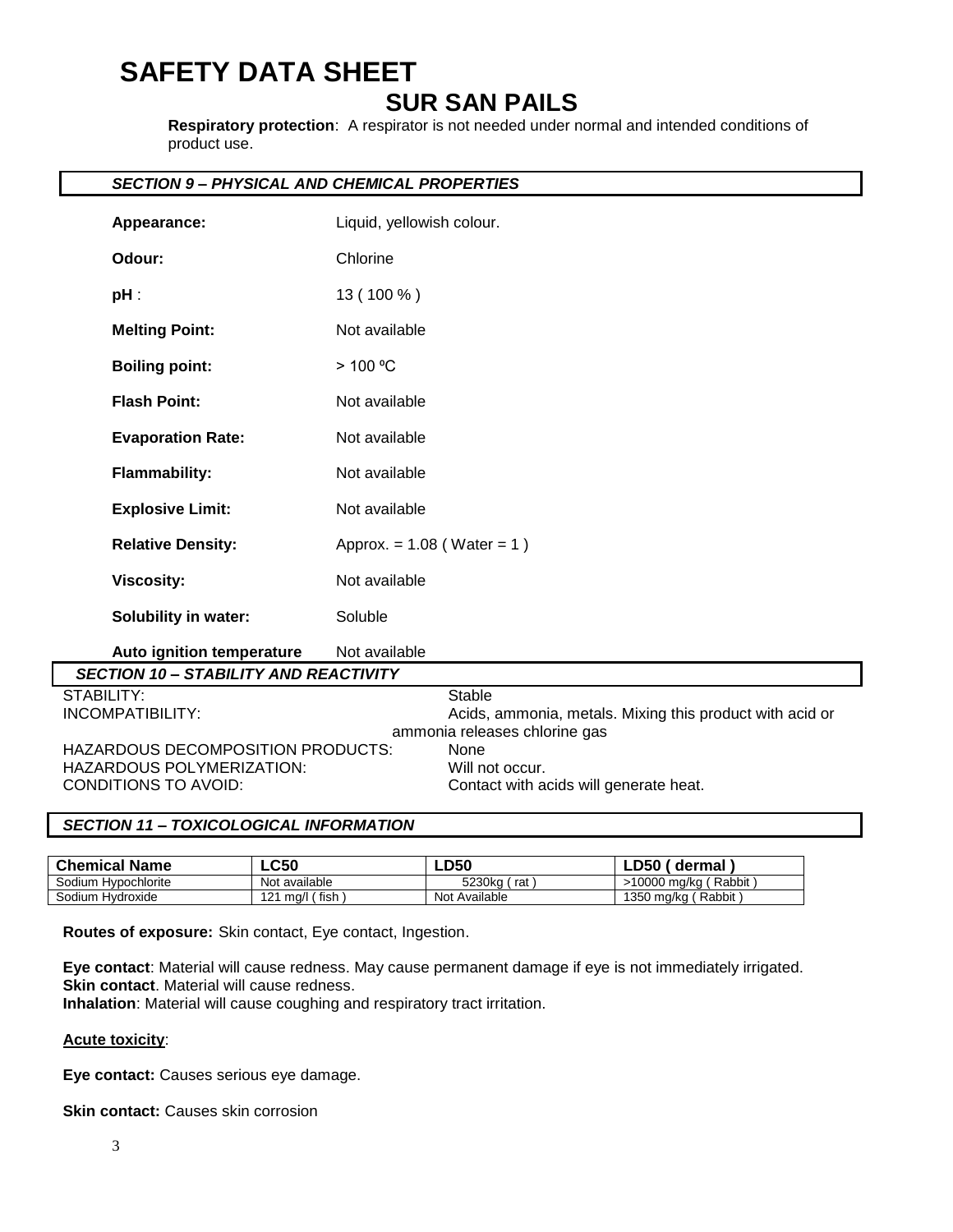# **SAFETY DATA SHEET**

# **SUR SAN PAILS**

**Respiratory protection**: A respirator is not needed under normal and intended conditions of product use.

# *SECTION 9 – PHYSICAL AND CHEMICAL PROPERTIES*

| Appearance:                                  | Liquid, yellowish colour.                                |
|----------------------------------------------|----------------------------------------------------------|
| Odour:                                       | Chlorine                                                 |
| $pH$ :                                       | 13 (100 %)                                               |
| <b>Melting Point:</b>                        | Not available                                            |
| <b>Boiling point:</b>                        | > 100 °C                                                 |
| <b>Flash Point:</b>                          | Not available                                            |
| <b>Evaporation Rate:</b>                     | Not available                                            |
| <b>Flammability:</b>                         | Not available                                            |
| <b>Explosive Limit:</b>                      | Not available                                            |
| <b>Relative Density:</b>                     | Approx. = $1.08$ (Water = 1)                             |
| <b>Viscosity:</b>                            | Not available                                            |
| <b>Solubility in water:</b>                  | Soluble                                                  |
| Auto ignition temperature                    | Not available                                            |
| <b>SECTION 10 - STABILITY AND REACTIVITY</b> |                                                          |
| STABILITY:                                   | <b>Stable</b>                                            |
| <b>INCOMPATIBILITY:</b>                      | Acids, ammonia, metals. Mixing this product with acid or |
|                                              | ammonia releases chlorine gas                            |
| HAZARDOUS DECOMPOSITION PRODUCTS:            | None                                                     |
| HAZARDOUS POLYMERIZATION:                    | Will not occur.                                          |
| CONDITIONS TO AVOID:                         | Contact with acids will generate heat.                   |

# *SECTION 11 – TOXICOLOGICAL INFORMATION*

| <b>Chemical Name</b> | $\mathsf{LC50}$                  | <b>LD50</b>   | LD50'<br>dermal       |
|----------------------|----------------------------------|---------------|-----------------------|
| Sodium Hypochlorite  | Not available                    | 5230ka<br>rat | >10000 mg/kg (Rabbit) |
| Sodium Hydroxide     | $121 \text{ ma/l}$ (fish)<br>101 | Not Available | 1350 mg/kg (Rabbit)   |

**Routes of exposure:** Skin contact, Eye contact, Ingestion.

**Eye contact**: Material will cause redness. May cause permanent damage if eye is not immediately irrigated. **Skin contact.** Material will cause redness.

**Inhalation**: Material will cause coughing and respiratory tract irritation.

# **Acute toxicity**:

**Eye contact:** Causes serious eye damage.

**Skin contact:** Causes skin corrosion